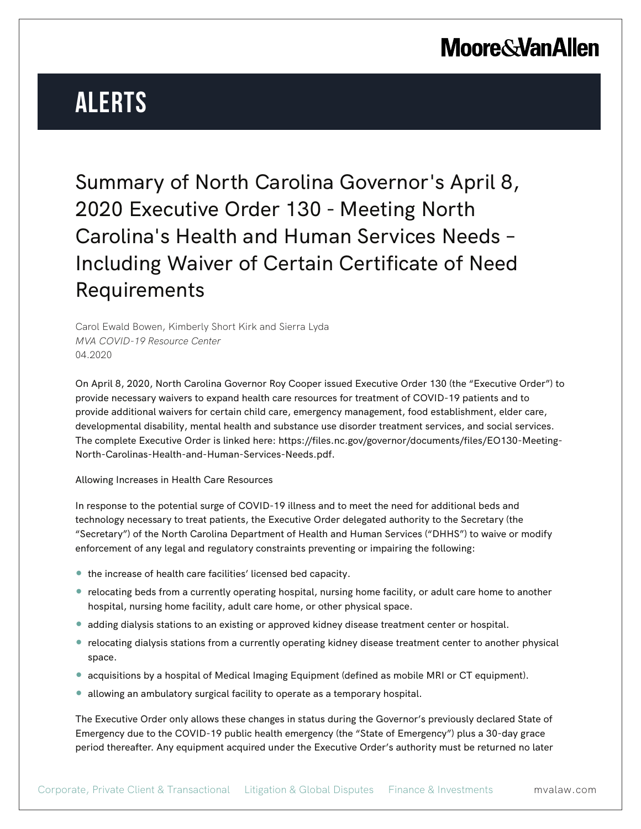# **Alerts**

Summary of North Carolina Governor's April 8, 2020 Executive Order 130 - Meeting North Carolina's Health and Human Services Needs – Including Waiver of Certain Certificate of Need Requirements

Carol Ewald Bowen, Kimberly Short Kirk and Sierra Lyda *MVA COVID-19 Resource Center* 04.2020

On April 8, 2020, North Carolina Governor Roy Cooper issued Executive Order 130 (the "Executive Order") to provide necessary waivers to expand health care resources for treatment of COVID-19 patients and to provide additional waivers for certain child care, emergency management, food establishment, elder care, developmental disability, mental health and substance use disorder treatment services, and social services. The complete Executive Order is linked here: https://files.nc.gov/governor/documents/files/EO130-Meeting-North-Carolinas-Health-and-Human-Services-Needs.pdf.

Allowing Increases in Health Care Resources

In response to the potential surge of COVID-19 illness and to meet the need for additional beds and technology necessary to treat patients, the Executive Order delegated authority to the Secretary (the "Secretary") of the North Carolina Department of Health and Human Services ("DHHS") to waive or modify enforcement of any legal and regulatory constraints preventing or impairing the following:

- the increase of health care facilities' licensed bed capacity.
- relocating beds from a currently operating hospital, nursing home facility, or adult care home to another hospital, nursing home facility, adult care home, or other physical space.
- adding dialysis stations to an existing or approved kidney disease treatment center or hospital.
- relocating dialysis stations from a currently operating kidney disease treatment center to another physical space.
- acquisitions by a hospital of Medical Imaging Equipment (defined as mobile MRI or CT equipment).
- allowing an ambulatory surgical facility to operate as a temporary hospital.

The Executive Order only allows these changes in status during the Governor's previously declared State of Emergency due to the COVID-19 public health emergency (the "State of Emergency") plus a 30-day grace period thereafter. Any equipment acquired under the Executive Order's authority must be returned no later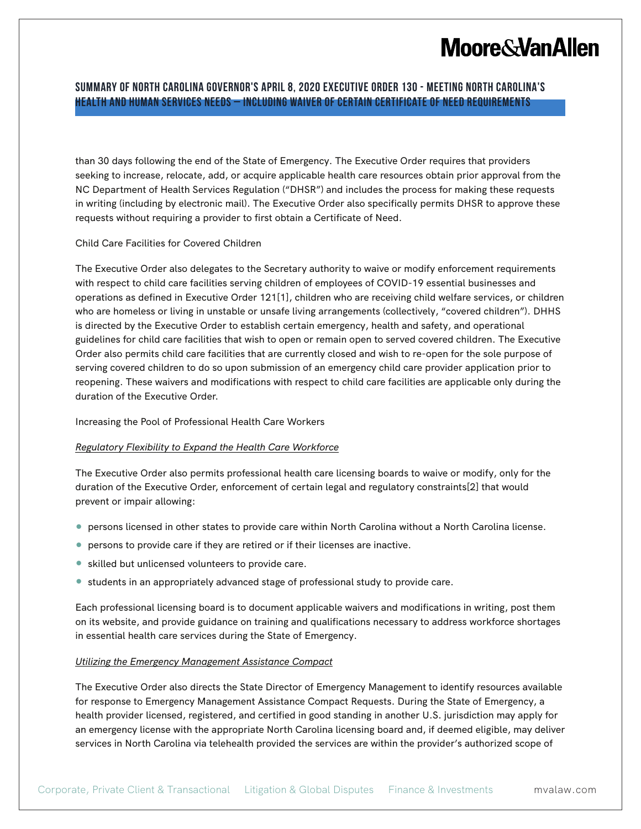### **Summary of North Carolina Governor's April 8, 2020 Executive Order 130 - Meeting North Carolina's Health and Human Services Needs – Including Waiver of Certain Certificate of Need Requirements**

than 30 days following the end of the State of Emergency. The Executive Order requires that providers seeking to increase, relocate, add, or acquire applicable health care resources obtain prior approval from the NC Department of Health Services Regulation ("DHSR") and includes the process for making these requests in writing (including by electronic mail). The Executive Order also specifically permits DHSR to approve these requests without requiring a provider to first obtain a Certificate of Need.

### Child Care Facilities for Covered Children

The Executive Order also delegates to the Secretary authority to waive or modify enforcement requirements with respect to child care facilities serving children of employees of COVID-19 essential businesses and operations as defined in Executive Order 121[1], children who are receiving child welfare services, or children who are homeless or living in unstable or unsafe living arrangements (collectively, "covered children"). DHHS is directed by the Executive Order to establish certain emergency, health and safety, and operational guidelines for child care facilities that wish to open or remain open to served covered children. The Executive Order also permits child care facilities that are currently closed and wish to re-open for the sole purpose of serving covered children to do so upon submission of an emergency child care provider application prior to reopening. These waivers and modifications with respect to child care facilities are applicable only during the duration of the Executive Order.

#### Increasing the Pool of Professional Health Care Workers

### *Regulatory Flexibility to Expand the Health Care Workforce*

The Executive Order also permits professional health care licensing boards to waive or modify, only for the duration of the Executive Order, enforcement of certain legal and regulatory constraints[2] that would prevent or impair allowing:

- persons licensed in other states to provide care within North Carolina without a North Carolina license.
- persons to provide care if they are retired or if their licenses are inactive.
- skilled but unlicensed volunteers to provide care.
- students in an appropriately advanced stage of professional study to provide care.

Each professional licensing board is to document applicable waivers and modifications in writing, post them on its website, and provide guidance on training and qualifications necessary to address workforce shortages in essential health care services during the State of Emergency.

#### *Utilizing the Emergency Management Assistance Compact*

The Executive Order also directs the State Director of Emergency Management to identify resources available for response to Emergency Management Assistance Compact Requests. During the State of Emergency, a health provider licensed, registered, and certified in good standing in another U.S. jurisdiction may apply for an emergency license with the appropriate North Carolina licensing board and, if deemed eligible, may deliver services in North Carolina via telehealth provided the services are within the provider's authorized scope of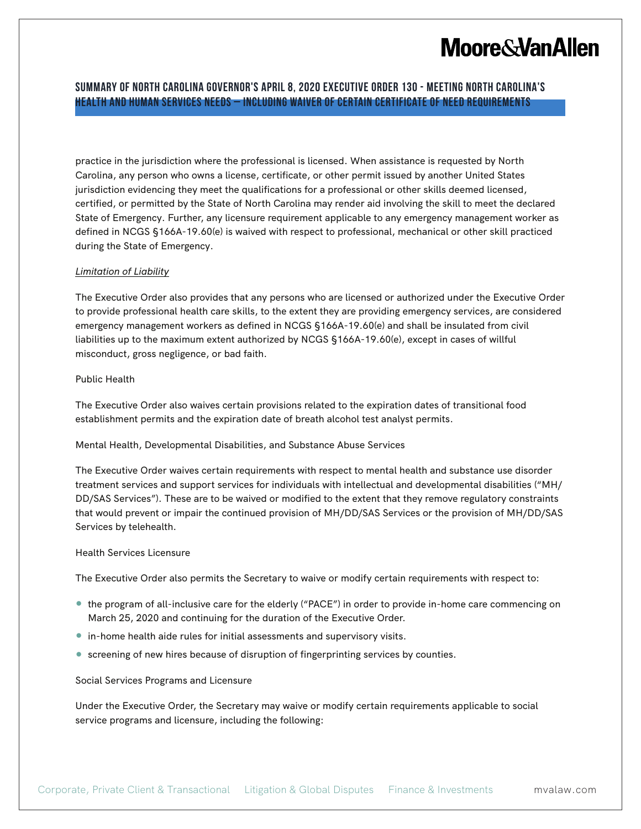### **Summary of North Carolina Governor's April 8, 2020 Executive Order 130 - Meeting North Carolina's Health and Human Services Needs – Including Waiver of Certain Certificate of Need Requirements**

practice in the jurisdiction where the professional is licensed. When assistance is requested by North Carolina, any person who owns a license, certificate, or other permit issued by another United States jurisdiction evidencing they meet the qualifications for a professional or other skills deemed licensed, certified, or permitted by the State of North Carolina may render aid involving the skill to meet the declared State of Emergency. Further, any licensure requirement applicable to any emergency management worker as defined in NCGS §166A-19.60(e) is waived with respect to professional, mechanical or other skill practiced during the State of Emergency.

### *Limitation of Liability*

The Executive Order also provides that any persons who are licensed or authorized under the Executive Order to provide professional health care skills, to the extent they are providing emergency services, are considered emergency management workers as defined in NCGS §166A-19.60(e) and shall be insulated from civil liabilities up to the maximum extent authorized by NCGS §166A-19.60(e), except in cases of willful misconduct, gross negligence, or bad faith.

### Public Health

The Executive Order also waives certain provisions related to the expiration dates of transitional food establishment permits and the expiration date of breath alcohol test analyst permits.

#### Mental Health, Developmental Disabilities, and Substance Abuse Services

The Executive Order waives certain requirements with respect to mental health and substance use disorder treatment services and support services for individuals with intellectual and developmental disabilities ("MH/ DD/SAS Services"). These are to be waived or modified to the extent that they remove regulatory constraints that would prevent or impair the continued provision of MH/DD/SAS Services or the provision of MH/DD/SAS Services by telehealth.

#### Health Services Licensure

The Executive Order also permits the Secretary to waive or modify certain requirements with respect to:

- the program of all-inclusive care for the elderly ("PACE") in order to provide in-home care commencing on March 25, 2020 and continuing for the duration of the Executive Order.
- in-home health aide rules for initial assessments and supervisory visits.
- screening of new hires because of disruption of fingerprinting services by counties.

Social Services Programs and Licensure

Under the Executive Order, the Secretary may waive or modify certain requirements applicable to social service programs and licensure, including the following: